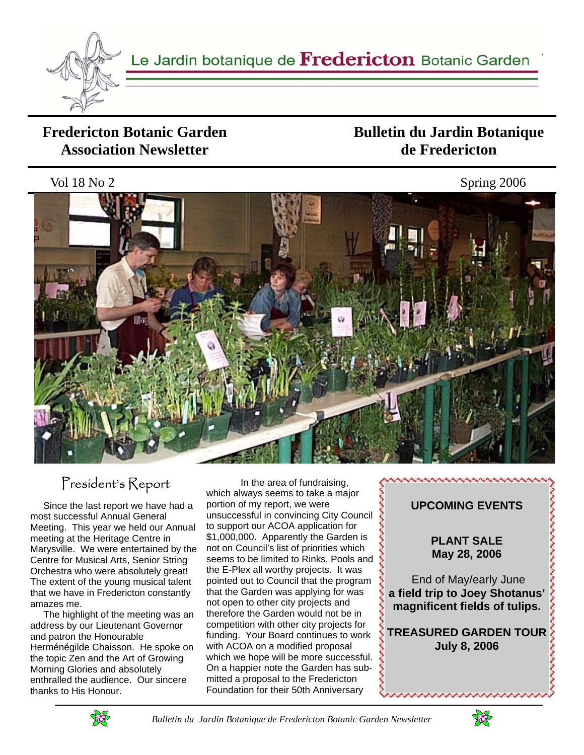

#### **Fredericton Botanic Garden Association Newsletter**

### **Bulletin du Jardin Botanique de Fredericton**

Vol 18 No 2 Spring 2006



# President's Report

 Since the last report we have had a most successful Annual General Meeting. This year we held our Annual meeting at the Heritage Centre in Marysville. We were entertained by the Centre for Musical Arts, Senior String Orchestra who were absolutely great! The extent of the young musical talent that we have in Fredericton constantly amazes me.

 The highlight of the meeting was an address by our Lieutenant Governor and patron the Honourable Herménégilde Chaisson. He spoke on the topic Zen and the Art of Growing Morning Glories and absolutely enthralled the audience. Our sincere thanks to His Honour.

 In the area of fundraising, which always seems to take a major portion of my report, we were unsuccessful in convincing City Council to support our ACOA application for \$1,000,000. Apparently the Garden is not on Council's list of priorities which seems to be limited to Rinks, Pools and the E-Plex all worthy projects. It was pointed out to Council that the program that the Garden was applying for was not open to other city projects and therefore the Garden would not be in competition with other city projects for funding. Your Board continues to work with ACOA on a modified proposal which we hope will be more successful. On a happier note the Garden has submitted a proposal to the Fredericton Foundation for their 50th Anniversary



**NUMBER NUMBER NUMBER NUMBER NUMBER** 

**PLANT SALE May 28, 2006** 

 End of May/early June **a field trip to Joey Shotanus' magnificent fields of tulips.** 

**TREASURED GARDEN TOUR July 8, 2006** 



 *Bulletin du Jardin Botanique de Fredericton Botanic Garden Newsletter* 

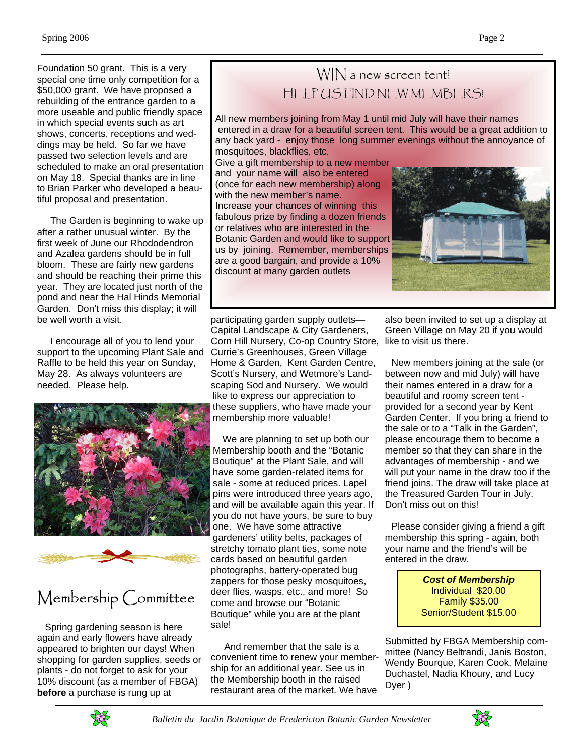Foundation 50 grant. This is a very special one time only competition for a \$50,000 grant. We have proposed a rebuilding of the entrance garden to a more useable and public friendly space in which special events such as art shows, concerts, receptions and weddings may be held. So far we have passed two selection levels and are scheduled to make an oral presentation on May 18. Special thanks are in line to Brian Parker who developed a beautiful proposal and presentation.

 The Garden is beginning to wake up after a rather unusual winter. By the first week of June our Rhododendron and Azalea gardens should be in full bloom. These are fairly new gardens and should be reaching their prime this year. They are located just north of the pond and near the Hal Hinds Memorial Garden. Don't miss this display; it will be well worth a visit.

 I encourage all of you to lend your support to the upcoming Plant Sale and Raffle to be held this year on Sunday, May 28. As always volunteers are needed. Please help.



# Membership Committee

 Spring gardening season is here again and early flowers have already appeared to brighten our days! When shopping for garden supplies, seeds or plants - do not forget to ask for your 10% discount (as a member of FBGA) **before** a purchase is rung up at

## WIN a new screen tent! HELP US FIND NEW MEMBERS!

All new members joining from May 1 until mid July will have their names entered in a draw for a beautiful screen tent. This would be a great addition to any back yard - enjoy those long summer evenings without the annoyance of mosquitoes, blackflies, etc.

Give a gift membership to a new member and your name will also be entered (once for each new membership) along with the new member's name. Increase your chances of winning this fabulous prize by finding a dozen friends or relatives who are interested in the Botanic Garden and would like to support us by joining. Remember, memberships are a good bargain, and provide a 10% discount at many garden outlets



participating garden supply outlets— Capital Landscape & City Gardeners, Corn Hill Nursery, Co-op Country Store, like to visit us there. Currie's Greenhouses, Green Village Home & Garden, Kent Garden Centre, Scott's Nursery, and Wetmore's Landscaping Sod and Nursery. We would like to express our appreciation to these suppliers, who have made your membership more valuable!

 We are planning to set up both our Membership booth and the "Botanic Boutique" at the Plant Sale, and will have some garden-related items for sale - some at reduced prices. Lapel pins were introduced three years ago, and will be available again this year. If you do not have yours, be sure to buy one. We have some attractive gardeners' utility belts, packages of stretchy tomato plant ties, some note cards based on beautiful garden photographs, battery-operated bug zappers for those pesky mosquitoes, deer flies, wasps, etc., and more! So come and browse our "Botanic Boutique" while you are at the plant sale!

 And remember that the sale is a convenient time to renew your membership for an additional year. See us in the Membership booth in the raised restaurant area of the market. We have

also been invited to set up a display at Green Village on May 20 if you would

 New members joining at the sale (or between now and mid July) will have their names entered in a draw for a beautiful and roomy screen tent provided for a second year by Kent Garden Center. If you bring a friend to the sale or to a "Talk in the Garden", please encourage them to become a member so that they can share in the advantages of membership - and we will put your name in the draw too if the friend joins. The draw will take place at the Treasured Garden Tour in July. Don't miss out on this!

 Please consider giving a friend a gift membership this spring - again, both your name and the friend's will be entered in the draw.

> *Cost of Membership*  Individual \$20.00 Family \$35.00 Senior/Student \$15.00

Submitted by FBGA Membership committee (Nancy Beltrandi, Janis Boston, Wendy Bourque, Karen Cook, Melaine Duchastel, Nadia Khoury, and Lucy Dyer )



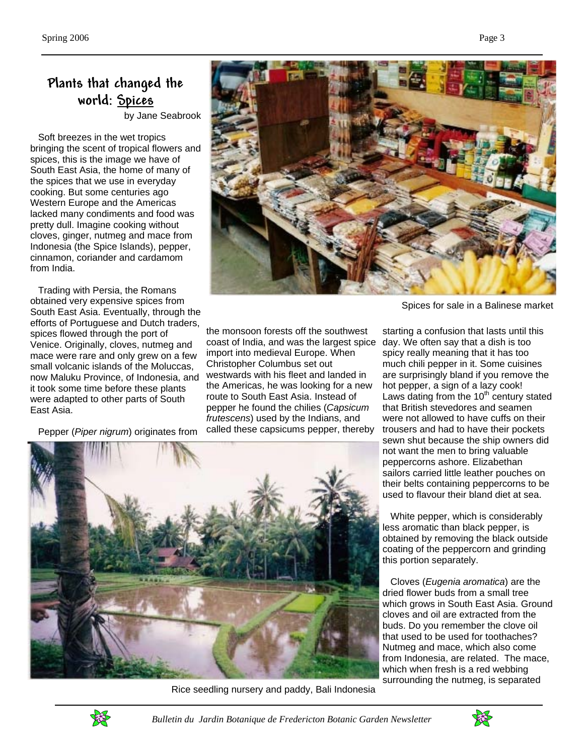#### **Plants that changed the world: Spices**

by Jane Seabrook

 Soft breezes in the wet tropics bringing the scent of tropical flowers and spices, this is the image we have of South East Asia, the home of many of the spices that we use in everyday cooking. But some centuries ago Western Europe and the Americas lacked many condiments and food was pretty dull. Imagine cooking without cloves, ginger, nutmeg and mace from Indonesia (the Spice Islands), pepper, cinnamon, coriander and cardamom from India.

 Trading with Persia, the Romans obtained very expensive spices from South East Asia. Eventually, through the efforts of Portuguese and Dutch traders, spices flowed through the port of Venice. Originally, cloves, nutmeg and mace were rare and only grew on a few small volcanic islands of the Moluccas, now Maluku Province, of Indonesia, and it took some time before these plants were adapted to other parts of South East Asia.

Pepper (*Piper nigrum*) originates from



Spices for sale in a Balinese market

the monsoon forests off the southwest coast of India, and was the largest spice import into medieval Europe. When Christopher Columbus set out westwards with his fleet and landed in the Americas, he was looking for a new route to South East Asia. Instead of pepper he found the chilies (*Capsicum frutescens*) used by the Indians, and called these capsicums pepper, thereby



Rice seedling nursery and paddy, Bali Indonesia

starting a confusion that lasts until this day. We often say that a dish is too spicy really meaning that it has too much chili pepper in it. Some cuisines are surprisingly bland if you remove the hot pepper, a sign of a lazy cook! Laws dating from the  $10<sup>th</sup>$  century stated that British stevedores and seamen were not allowed to have cuffs on their trousers and had to have their pockets sewn shut because the ship owners did not want the men to bring valuable peppercorns ashore. Elizabethan sailors carried little leather pouches on their belts containing peppercorns to be used to flavour their bland diet at sea.

 White pepper, which is considerably less aromatic than black pepper, is obtained by removing the black outside coating of the peppercorn and grinding this portion separately.

 Cloves (*Eugenia aromatica*) are the dried flower buds from a small tree which grows in South East Asia. Ground cloves and oil are extracted from the buds. Do you remember the clove oil that used to be used for toothaches? Nutmeg and mace, which also come from Indonesia, are related. The mace, which when fresh is a red webbing surrounding the nutmeg, is separated



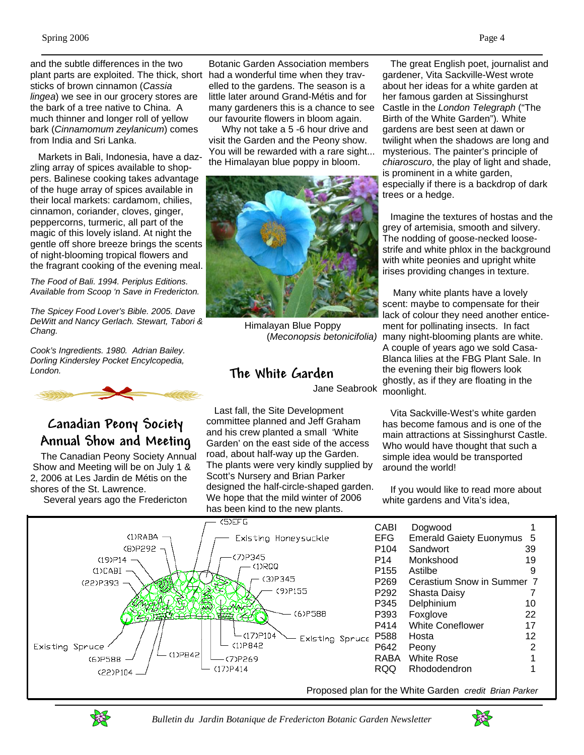and the subtle differences in the two plant parts are exploited. The thick, short sticks of brown cinnamon (*Cassia lingea*) we see in our grocery stores are the bark of a tree native to China. A much thinner and longer roll of yellow bark (*Cinnamomum zeylanicum*) comes from India and Sri Lanka.

 Markets in Bali, Indonesia, have a dazzling array of spices available to shoppers. Balinese cooking takes advantage of the huge array of spices available in their local markets: cardamom, chilies, cinnamon, coriander, cloves, ginger, peppercorns, turmeric, all part of the magic of this lovely island. At night the gentle off shore breeze brings the scents of night-blooming tropical flowers and the fragrant cooking of the evening meal.

*The Food of Bali. 1994. Periplus Editions. Available from Scoop 'n Save in Fredericton.* 

*The Spicey Food Lover's Bible. 2005. Dave DeWitt and Nancy Gerlach. Stewart, Tabori & Chang.* 

*Cook's Ingredients. 1980. Adrian Bailey. Dorling Kindersley Pocket Encylcopedia, London.*



#### **Canadian Peony Society Annual Show and Meeting**

 The Canadian Peony Society Annual Show and Meeting will be on July 1 & 2, 2006 at Les Jardin de Métis on the shores of the St. Lawrence. Several years ago the Fredericton

Botanic Garden Association members had a wonderful time when they travelled to the gardens. The season is a little later around Grand-Métis and for many gardeners this is a chance to see our favourite flowers in bloom again.

 Why not take a 5 -6 hour drive and visit the Garden and the Peony show. You will be rewarded with a rare sight... the Himalayan blue poppy in bloom.



Himalayan Blue Poppy (*Meconopsis betonicifolia)*

#### **The White Garden**

Jane Seabrook

 Last fall, the Site Development committee planned and Jeff Graham and his crew planted a small 'White Garden' on the east side of the access road, about half-way up the Garden. The plants were very kindly supplied by Scott's Nursery and Brian Parker designed the half-circle-shaped garden. We hope that the mild winter of 2006 has been kind to the new plants.

 The great English poet, journalist and gardener, Vita Sackville-West wrote about her ideas for a white garden at her famous garden at Sissinghurst Castle in the *London Telegraph* ("The Birth of the White Garden")*.* White gardens are best seen at dawn or twilight when the shadows are long and mysterious. The painter's principle of *chiaroscuro*, the play of light and shade, is prominent in a white garden, especially if there is a backdrop of dark trees or a hedge.

 Imagine the textures of hostas and the grey of artemisia, smooth and silvery. The nodding of goose-necked loosestrife and white phlox in the background with white peonies and upright white irises providing changes in texture.

 Many white plants have a lovely scent: maybe to compensate for their lack of colour they need another enticement for pollinating insects. In fact many night-blooming plants are white. A couple of years ago we sold Casa-Blanca lilies at the FBG Plant Sale. In the evening their big flowers look ghostly, as if they are floating in the moonlight.

 Vita Sackville-West's white garden has become famous and is one of the main attractions at Sissinghurst Castle. Who would have thought that such a simple idea would be transported around the world!

 If you would like to read more about white gardens and Vita's idea,





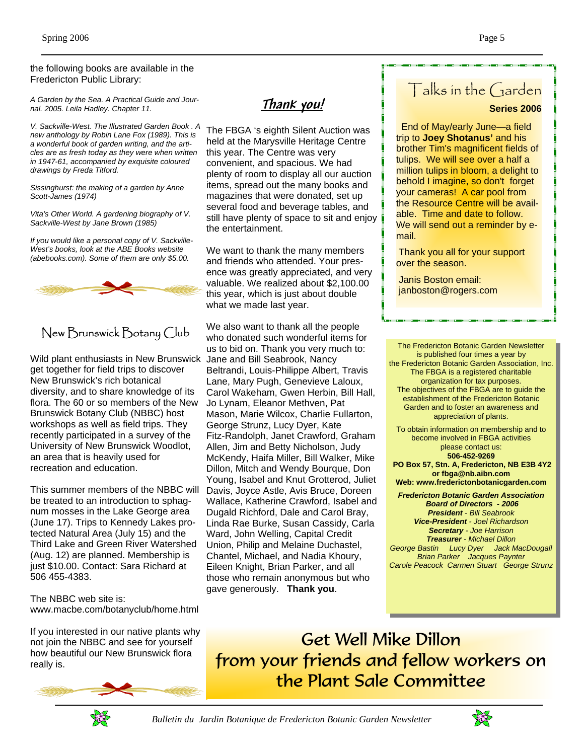the following books are available in the Fredericton Public Library:

*A Garden by the Sea. A Practical Guide and Journal. 2005. Leila Hadley. Chapter 11.* 

*V. Sackville-West. The Illustrated Garden Book . A new anthology by Robin Lane Fox (1989). This is a wonderful book of garden writing, and the articles are as fresh today as they were when written in 1947-61, accompanied by exquisite coloured drawings by Freda Titford.* 

*Sissinghurst: the making of a garden by Anne Scott-James (1974)* 

*Vita's Other World. A gardening biography of V. Sackville-West by Jane Brown (1985)* 

*If you would like a personal copy of V. Sackville-West's books, look at the ABE Books website (abebooks.com). Some of them are only \$5.00.* 



#### New Brunswick Botany Club

Wild plant enthusiasts in New Brunswick Jane and Bill Seabrook, Nancy get together for field trips to discover New Brunswick's rich botanical diversity, and to share knowledge of its flora. The 60 or so members of the New Brunswick Botany Club (NBBC) host workshops as well as field trips. They recently participated in a survey of the University of New Brunswick Woodlot, an area that is heavily used for recreation and education.

This summer members of the NBBC will be treated to an introduction to sphagnum mosses in the Lake George area (June 17). Trips to Kennedy Lakes protected Natural Area (July 15) and the Third Lake and Green River Watershed (Aug. 12) are planned. Membership is just \$10.00. Contact: Sara Richard at 506 455-4383.

The NBBC web site is: www.macbe.com/botanyclub/home.html

If you interested in our native plants why not join the NBBC and see for yourself how beautiful our New Brunswick flora really is.



**Thank you!**

The FBGA 's eighth Silent Auction was held at the Marysville Heritage Centre this year. The Centre was very convenient, and spacious. We had plenty of room to display all our auction items, spread out the many books and magazines that were donated, set up several food and beverage tables, and still have plenty of space to sit and enjoy the entertainment.

We want to thank the many members and friends who attended. Your presence was greatly appreciated, and very valuable. We realized about \$2,100.00 this year, which is just about double what we made last year.

We also want to thank all the people who donated such wonderful items for us to bid on. Thank you very much to: Beltrandi, Louis-Philippe Albert, Travis Lane, Mary Pugh, Genevieve Laloux, Carol Wakeham, Gwen Herbin, Bill Hall, Jo Lynam, Eleanor Methven, Pat Mason, Marie Wilcox, Charlie Fullarton, George Strunz, Lucy Dyer, Kate Fitz-Randolph, Janet Crawford, Graham Allen, Jim and Betty Nicholson, Judy McKendy, Haifa Miller, Bill Walker, Mike Dillon, Mitch and Wendy Bourque, Don Young, Isabel and Knut Grotterod, Juliet Davis, Joyce Astle, Avis Bruce, Doreen Wallace, Katherine Crawford, Isabel and Dugald Richford, Dale and Carol Bray, Linda Rae Burke, Susan Cassidy, Carla Ward, John Welling, Capital Credit Union, Philip and Melaine Duchastel, Chantel, Michael, and Nadia Khoury, Eileen Knight, Brian Parker, and all those who remain anonymous but who gave generously. **Thank you**.

# Talks in the Garden

#### **Series 2006**

 End of May/early June—a field trip to **Joey Shotanus'** and his brother Tim's magnificent fields of tulips. We will see over a half a million tulips in bloom, a delight to behold I imagine, so don't forget your cameras! A car pool from the Resource Centre will be available. Time and date to follow. We will send out a reminder by email.

 Thank you all for your support over the season.

 Janis Boston email: janboston@rogers.com

The Fredericton Botanic Garden Newsletter is published four times a year by the Fredericton Botanic Garden Association, Inc. The FBGA is a registered charitable organization for tax purposes. The objectives of the FBGA are to guide the establishment of the Fredericton Botanic Garden and to foster an awareness and appreciation of plants. To obtain information on membership and to

become involved in FBGA activities please contact us: **506-452-9269 PO Box 57, Stn. A, Fredericton, NB E3B 4Y2 or fbga@nb.aibn.com** 

**Web: www.frederictonbotanicgarden.com** 

*Fredericton Botanic Garden Association Board of Directors - 2006 President - Bill Seabrook Vice-President - Joel Richardson Secretary - Joe Harrison Treasurer - Michael Dillon George Bastin Lucy Dyer Jack MacDougall Brian Parker Jacques Paynter Carole Peacock Carmen Stuart George Strunz* 

Get Well Mike Dillon from your friends and fellow workers on the Plant Sale Committee



 *Bulletin du Jardin Botanique de Fredericton Botanic Garden Newsletter*